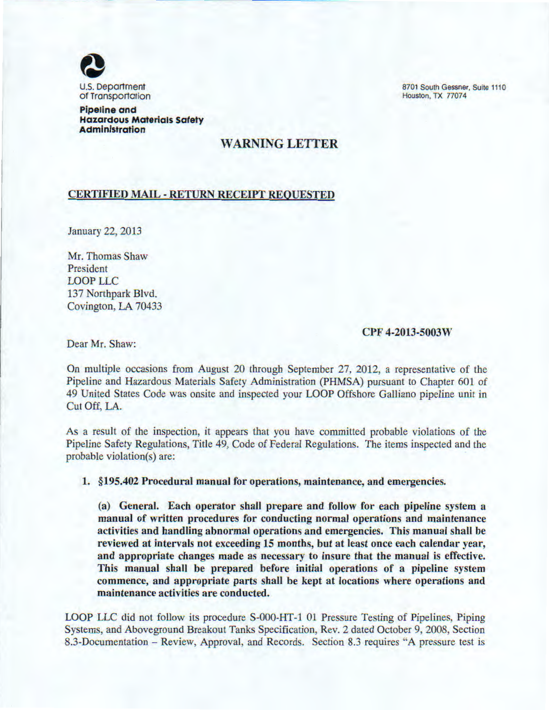

Pipeline and Hazardous Materials Safety Administration

8701 South Gessner, Suite 1110 Houston, TX 77074

# WARNING LETTER

### CERTIFIED MAIL- RETURN RECEIPT REQUESTED

January 22, 2013

Mr. Thomas Shaw President LOOP LLC 137 Northpark Blvd. Covington, LA 70433

### CPF 4-2013-5003W

Dear Mr. Shaw:

On multiple occasions from August 20 through September 27, 2012, a representative of the Pipeline and Hazardous Materials Safety Administration (PHMSA) pursuant to Chapter 601 of 49 United States Code was onsitc and inspected your LOOP Offshore Galliano pipeline unit in Cut Off, LA.

As a result of the inspection, it appears that you have committed probable violations of the Pipeline Safety Regulations, Title 49, Code of Federal Regulations. The items inspected and the probable violation(s) are:

## 1. §195.402 Procedural manual for operations, maintenance, and emergencies.

(a) General. Each operator shall prepare and follow for each pipeline system a manual of written procedures for conducting normal operations and maintenance activities and handling abnormal operations and emergencies. This manual shall be reviewed at intervals not exceeding 15 months, but at least once each calendar year, and appropriate changes made as necessary to insure that the manual is effective. This manual shall be prepared before initial operations of a pipeline system commence, and appropriate parts shall be kept at locations where operations and maintenance activities are conducted.

LOOP LLC did not follow its procedure S-000-HT-1 01 Pressure Testing of Pipelines, Piping Systems, and Aboveground Breakout Tanks Specification, Rev. 2 dated October 9, 2008, Section 8.3-Documentation – Review, Approval, and Records. Section 8.3 requires "A pressure test is